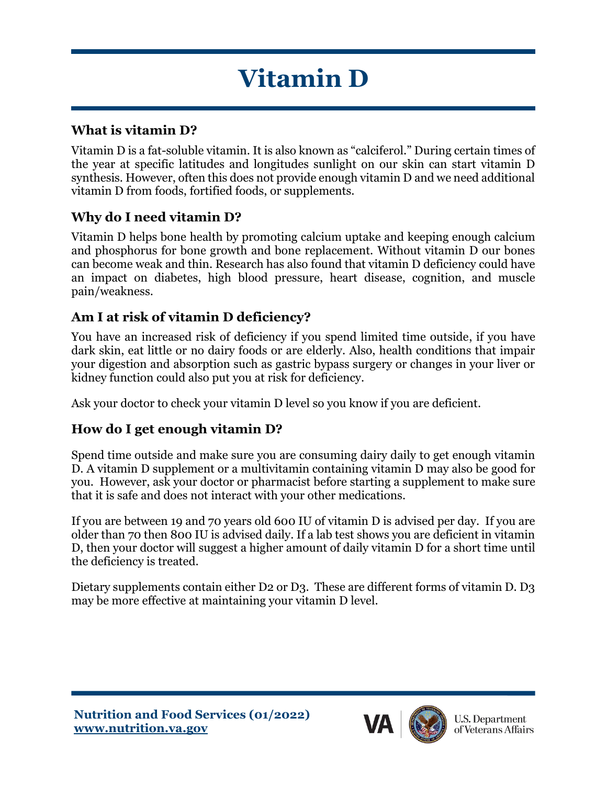# **Vitamin D**

### **What is vitamin D?**

Vitamin D is a fat-soluble vitamin. It is also known as "calciferol." During certain times of the year at specific latitudes and longitudes sunlight on our skin can start vitamin D synthesis. However, often this does not provide enough vitamin D and we need additional vitamin D from foods, fortified foods, or supplements.

## **Why do I need vitamin D?**

Vitamin D helps bone health by promoting calcium uptake and keeping enough calcium and phosphorus for bone growth and bone replacement. Without vitamin D our bones can become weak and thin. Research has also found that vitamin D deficiency could have an impact on diabetes, high blood pressure, heart disease, cognition, and muscle pain/weakness.

#### **Am I at risk of vitamin D deficiency?**

You have an increased risk of deficiency if you spend limited time outside, if you have dark skin, eat little or no dairy foods or are elderly. Also, health conditions that impair your digestion and absorption such as gastric bypass surgery or changes in your liver or kidney function could also put you at risk for deficiency.

Ask your doctor to check your vitamin D level so you know if you are deficient.

## **How do I get enough vitamin D?**

Spend time outside and make sure you are consuming dairy daily to get enough vitamin D. A vitamin D supplement or a multivitamin containing vitamin D may also be good for you. However, ask your doctor or pharmacist before starting a supplement to make sure that it is safe and does not interact with your other medications.

If you are between 19 and 70 years old 600 IU of vitamin D is advised per day. If you are older than 70 then 800 IU is advised daily. If a lab test shows you are deficient in vitamin D, then your doctor will suggest a higher amount of daily vitamin D for a short time until the deficiency is treated.

Dietary supplements contain either D2 or D3. These are different forms of vitamin D. D3 may be more effective at maintaining your vitamin D level.